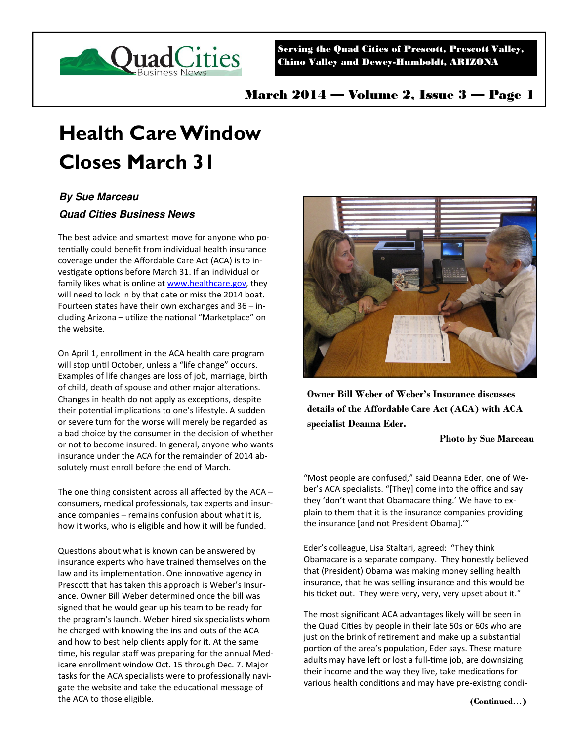

Serving the Quad Cities of Prescott, Prescott Valley, Chino Valley and Dewey-Humboldt, ARIZONA

March 2014 — Volume 2, Issue 3 — Page 1

# **Health Care Window Closes March 31**

## **By Sue Marceau**

### **Quad Cities Business News**

The best advice and smartest move for anyone who potentially could benefit from individual health insurance coverage under the Affordable Care Act (ACA) is to investigate options before March 31. If an individual or family likes what is online at www.healthcare.gov, they will need to lock in by that date or miss the 2014 boat. Fourteen states have their own exchanges and 36 – including Arizona - utilize the national "Marketplace" on the website.

On April 1, enrollment in the ACA health care program will stop until October, unless a "life change" occurs. Examples of life changes are loss of job, marriage, birth of child, death of spouse and other major alterations. Changes in health do not apply as exceptions, despite their potential implications to one's lifestyle. A sudden or severe turn for the worse will merely be regarded as a bad choice by the consumer in the decision of whether or not to become insured. In general, anyone who wants insurance under the ACA for the remainder of 2014 absolutely must enroll before the end of March.

The one thing consistent across all affected by the ACA – consumers, medical professionals, tax experts and insurance companies – remains confusion about what it is, how it works, who is eligible and how it will be funded.

Questions about what is known can be answered by insurance experts who have trained themselves on the law and its implementation. One innovative agency in Prescott that has taken this approach is Weber's Insurance. Owner Bill Weber determined once the bill was signed that he would gear up his team to be ready for the program's launch. Weber hired six specialists whom he charged with knowing the ins and outs of the ACA and how to best help clients apply for it. At the same time, his regular staff was preparing for the annual Medicare enrollment window Oct. 15 through Dec. 7. Major tasks for the ACA specialists were to professionally navigate the website and take the educational message of the ACA to those eligible.



**Owner Bill Weber of Weber's Insurance discusses details of the Affordable Care Act (ACA) with ACA specialist Deanna Eder.** 

#### **Photo by Sue Marceau**

"Most people are confused," said Deanna Eder, one of Weber's ACA specialists. "[They] come into the office and say they 'don't want that Obamacare thing.' We have to explain to them that it is the insurance companies providing the insurance [and not President Obama].'"

Eder's colleague, Lisa Staltari, agreed: "They think Obamacare is a separate company. They honestly believed that (President) Obama was making money selling health insurance, that he was selling insurance and this would be his ticket out. They were very, very, very upset about it."

The most significant ACA advantages likely will be seen in the Quad Cities by people in their late 50s or 60s who are just on the brink of retirement and make up a substantial portion of the area's population, Eder says. These mature adults may have left or lost a full-time job, are downsizing their income and the way they live, take medications for various health conditions and may have pre-existing condi-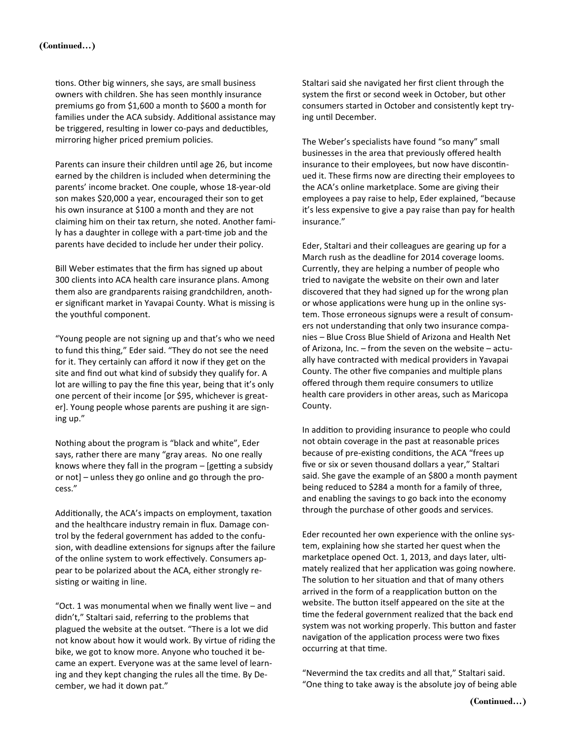tions. Other big winners, she says, are small business owners with children. She has seen monthly insurance premiums go from \$1,600 a month to \$600 a month for families under the ACA subsidy. Additional assistance may be triggered, resulting in lower co-pays and deductibles, mirroring higher priced premium policies.

Parents can insure their children until age 26, but income earned by the children is included when determining the parents' income bracket. One couple, whose 18-year-old son makes \$20,000 a year, encouraged their son to get his own insurance at \$100 a month and they are not claiming him on their tax return, she noted. Another family has a daughter in college with a part-time job and the parents have decided to include her under their policy.

Bill Weber estimates that the firm has signed up about 300 clients into ACA health care insurance plans. Among them also are grandparents raising grandchildren, another significant market in Yavapai County. What is missing is the youthful component.

"Young people are not signing up and that's who we need to fund this thing," Eder said. "They do not see the need for it. They certainly can afford it now if they get on the site and find out what kind of subsidy they qualify for. A lot are willing to pay the fine this year, being that it's only one percent of their income [or \$95, whichever is greater]. Young people whose parents are pushing it are signing up."

Nothing about the program is "black and white", Eder says, rather there are many "gray areas. No one really knows where they fall in the program  $-$  [getting a subsidy or not] – unless they go online and go through the process."

Additionally, the ACA's impacts on employment, taxation and the healthcare industry remain in flux. Damage control by the federal government has added to the confusion, with deadline extensions for signups after the failure of the online system to work effectively. Consumers appear to be polarized about the ACA, either strongly resisting or waiting in line.

"Oct. 1 was monumental when we finally went live – and didn't," Staltari said, referring to the problems that plagued the website at the outset. "There is a lot we did not know about how it would work. By virtue of riding the bike, we got to know more. Anyone who touched it became an expert. Everyone was at the same level of learning and they kept changing the rules all the time. By December, we had it down pat."

Staltari said she navigated her first client through the system the first or second week in October, but other consumers started in October and consistently kept trying until December.

The Weber's specialists have found "so many" small businesses in the area that previously offered health insurance to their employees, but now have discontinued it. These firms now are directing their employees to the ACA's online marketplace. Some are giving their employees a pay raise to help, Eder explained, "because it's less expensive to give a pay raise than pay for health insurance."

Eder, Staltari and their colleagues are gearing up for a March rush as the deadline for 2014 coverage looms. Currently, they are helping a number of people who tried to navigate the website on their own and later discovered that they had signed up for the wrong plan or whose applications were hung up in the online system. Those erroneous signups were a result of consumers not understanding that only two insurance companies – Blue Cross Blue Shield of Arizona and Health Net of Arizona, Inc. – from the seven on the website – actually have contracted with medical providers in Yavapai County. The other five companies and multiple plans offered through them require consumers to utilize health care providers in other areas, such as Maricopa County.

In addition to providing insurance to people who could not obtain coverage in the past at reasonable prices because of pre-existing conditions, the ACA "frees up five or six or seven thousand dollars a year," Staltari said. She gave the example of an \$800 a month payment being reduced to \$284 a month for a family of three, and enabling the savings to go back into the economy through the purchase of other goods and services.

Eder recounted her own experience with the online system, explaining how she started her quest when the marketplace opened Oct. 1, 2013, and days later, ultimately realized that her application was going nowhere. The solution to her situation and that of many others arrived in the form of a reapplication button on the website. The button itself appeared on the site at the time the federal government realized that the back end system was not working properly. This button and faster navigation of the application process were two fixes occurring at that time.

"Nevermind the tax credits and all that," Staltari said. "One thing to take away is the absolute joy of being able